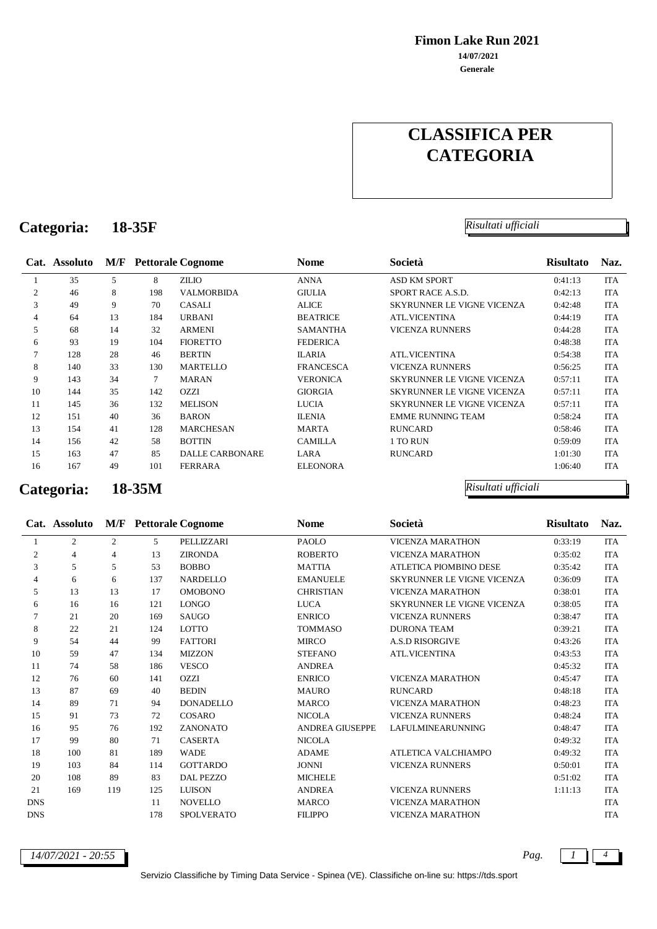**Fimon Lake Run 2021**

**Generale 14/07/2021**

# **CLASSIFICA PER CATEGORIA**

### **Categoria: 18-35F** *Risultati ufficiali*

### **Cat. Assoluto M/F Pettorale Cognome Nome Società Risultato Naz.** 1 35 5 8 ZILIO ANNA ASD KM SPORT 0:41:13 ITA 46 8 198 VALMORBIDA GIULIA SPORT RACE A.S.D. 0:42:13 ITA 49 9 70 CASALI ALICE SKYRUNNER LE VIGNE VICENZA 0:42:48 ITA 64 13 184 URBANI BEATRICE ATL.VICENTINA 0:44:19 ITA 68 14 32 ARMENI SAMANTHA VICENZA RUNNERS 0:44:28 ITA 93 19 104 FIORETTO FEDERICA 0:48:38 ITA 128 28 46 BERTIN ILARIA ATL.VICENTINA 0:54:38 ITA 140 33 130 MARTELLO FRANCESCA VICENZA RUNNERS 0:56:25 ITA 143 34 7 MARAN VERONICA SKYRUNNER LE VIGNE VICENZA 0:57:11 ITA 144 35 142 OZZI GIORGIA SKYRUNNER LE VIGNE VICENZA 0:57:11 ITA 145 36 132 MELISON LUCIA SKYRUNNER LE VIGNE VICENZA 0:57:11 ITA 151 40 36 BARON ILENIA EMME RUNNING TEAM 0:58:24 ITA 154 41 128 MARCHESAN MARTA RUNCARD 0:58:46 ITA 156 42 58 BOTTIN CAMILLA 1 TO RUN 0:59:09 ITA 163 47 85 DALLE CARBONARE LARA RUNCARD 1:01:30 ITA 167 49 101 FERRARA ELEONORA 1:06:40 ITA

**Categoria: 18-35M** *Risultati ufficiali*

|            | Cat. Assoluto |     |     | <b>M/F</b> Pettorale Cognome | <b>Nome</b>            | Società                           | <b>Risultato</b> | Naz.       |
|------------|---------------|-----|-----|------------------------------|------------------------|-----------------------------------|------------------|------------|
|            | 2             | 2   | 5   | PELLIZZARI                   | <b>PAOLO</b>           | <b>VICENZA MARATHON</b>           | 0:33:19          | <b>ITA</b> |
| 2          | 4             | 4   | 13  | <b>ZIRONDA</b>               | <b>ROBERTO</b>         | <b>VICENZA MARATHON</b>           | 0:35:02          | <b>ITA</b> |
| 3          | 5             | 5   | 53  | <b>BOBBO</b>                 | <b>MATTIA</b>          | ATLETICA PIOMBINO DESE            | 0:35:42          | <b>ITA</b> |
| 4          | 6             | 6   | 137 | <b>NARDELLO</b>              | <b>EMANUELE</b>        | <b>SKYRUNNER LE VIGNE VICENZA</b> | 0:36:09          | <b>ITA</b> |
| 5          | 13            | 13  | 17  | <b>OMOBONO</b>               | <b>CHRISTIAN</b>       | <b>VICENZA MARATHON</b>           | 0:38:01          | <b>ITA</b> |
| 6          | 16            | 16  | 121 | <b>LONGO</b>                 | <b>LUCA</b>            | SKYRUNNER LE VIGNE VICENZA        | 0:38:05          | <b>ITA</b> |
| 7          | 21            | 20  | 169 | <b>SAUGO</b>                 | <b>ENRICO</b>          | <b>VICENZA RUNNERS</b>            | 0:38:47          | <b>ITA</b> |
| 8          | 22            | 21  | 124 | <b>LOTTO</b>                 | <b>TOMMASO</b>         | <b>DURONA TEAM</b>                | 0:39:21          | ITA        |
| 9          | 54            | 44  | 99  | <b>FATTORI</b>               | <b>MIRCO</b>           | <b>A.S.D RISORGIVE</b>            | 0:43:26          | <b>ITA</b> |
| 10         | 59            | 47  | 134 | <b>MIZZON</b>                | <b>STEFANO</b>         | <b>ATL.VICENTINA</b>              | 0:43:53          | <b>ITA</b> |
| 11         | 74            | 58  | 186 | <b>VESCO</b>                 | <b>ANDREA</b>          |                                   | 0:45:32          | <b>ITA</b> |
| 12         | 76            | 60  | 141 | <b>OZZI</b>                  | <b>ENRICO</b>          | <b>VICENZA MARATHON</b>           | 0:45:47          | <b>ITA</b> |
| 13         | 87            | 69  | 40  | <b>BEDIN</b>                 | <b>MAURO</b>           | <b>RUNCARD</b>                    | 0:48:18          | <b>ITA</b> |
| 14         | 89            | 71  | 94  | <b>DONADELLO</b>             | <b>MARCO</b>           | <b>VICENZA MARATHON</b>           | 0:48:23          | ITA        |
| 15         | 91            | 73  | 72  | COSARO                       | <b>NICOLA</b>          | <b>VICENZA RUNNERS</b>            | 0:48:24          | <b>ITA</b> |
| 16         | 95            | 76  | 192 | ZANONATO                     | <b>ANDREA GIUSEPPE</b> | <b>LAFULMINEARUNNING</b>          | 0:48:47          | <b>ITA</b> |
| 17         | 99            | 80  | 71  | <b>CASERTA</b>               | <b>NICOLA</b>          |                                   | 0:49:32          | <b>ITA</b> |
| 18         | 100           | 81  | 189 | <b>WADE</b>                  | <b>ADAME</b>           | ATLETICA VALCHIAMPO               | 0:49:32          | <b>ITA</b> |
| 19         | 103           | 84  | 114 | <b>GOTTARDO</b>              | <b>JONNI</b>           | <b>VICENZA RUNNERS</b>            | 0:50:01          | <b>ITA</b> |
| 20         | 108           | 89  | 83  | <b>DAL PEZZO</b>             | <b>MICHELE</b>         |                                   | 0:51:02          | ITA        |
| 21         | 169           | 119 | 125 | <b>LUISON</b>                | <b>ANDREA</b>          | <b>VICENZA RUNNERS</b>            | 1:11:13          | ITA        |
| <b>DNS</b> |               |     | 11  | <b>NOVELLO</b>               | <b>MARCO</b>           | <b>VICENZA MARATHON</b>           |                  | <b>ITA</b> |
| <b>DNS</b> |               |     | 178 | <b>SPOLVERATO</b>            | <b>FILIPPO</b>         | <b>VICENZA MARATHON</b>           |                  | <b>ITA</b> |

*14/07/2021 - 20:55 Pag. 1 4*



Servizio Classifiche by Timing Data Service - Spinea (VE). Classifiche on-line su: https://tds.sport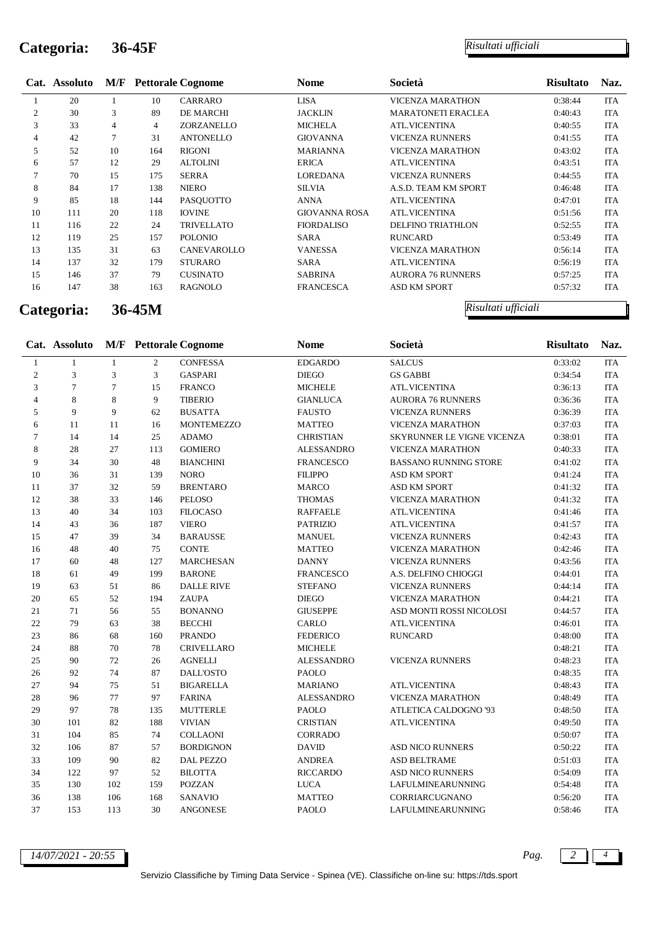# **Categoria: 36-45F** *Risultati ufficiali*

|                | Cat. Assoluto |    |     | <b>M/F</b> Pettorale Cognome | <b>Nome</b>          | Società                   | <b>Risultato</b> | Naz. |
|----------------|---------------|----|-----|------------------------------|----------------------|---------------------------|------------------|------|
|                | 20            |    | 10  | <b>CARRARO</b>               | LISA                 | <b>VICENZA MARATHON</b>   | 0:38:44          | ITA  |
| $\overline{c}$ | 30            | 3  | 89  | <b>DE MARCHI</b>             | <b>JACKLIN</b>       | <b>MARATONETI ERACLEA</b> | 0:40:43          | ITA  |
| 3              | 33            | 4  | 4   | ZORZANELLO                   | <b>MICHELA</b>       | <b>ATL.VICENTINA</b>      | 0:40:55          | ITA  |
| 4              | 42            | 7  | 31  | <b>ANTONELLO</b>             | <b>GIOVANNA</b>      | <b>VICENZA RUNNERS</b>    | 0:41:55          | ITA  |
| 5              | 52            | 10 | 164 | <b>RIGONI</b>                | <b>MARIANNA</b>      | <b>VICENZA MARATHON</b>   | 0:43:02          | ITA  |
| 6              | 57            | 12 | 29  | <b>ALTOLINI</b>              | <b>ERICA</b>         | <b>ATL.VICENTINA</b>      | 0:43:51          | ITA  |
| 7              | 70            | 15 | 175 | <b>SERRA</b>                 | LOREDANA             | <b>VICENZA RUNNERS</b>    | 0:44:55          | ITA  |
| 8              | 84            | 17 | 138 | <b>NIERO</b>                 | <b>SILVIA</b>        | A.S.D. TEAM KM SPORT      | 0:46:48          | ITA  |
| 9              | 85            | 18 | 144 | PASOUOTTO                    | ANNA                 | ATL.VICENTINA             | 0:47:01          | ITA  |
| 10             | 111           | 20 | 118 | <b>IOVINE</b>                | <b>GIOVANNA ROSA</b> | <b>ATL.VICENTINA</b>      | 0:51:56          | ITA  |
| 11             | 116           | 22 | 24  | <b>TRIVELLATO</b>            | <b>FIORDALISO</b>    | <b>DELFINO TRIATHLON</b>  | 0:52:55          | ITA  |
| 12             | 119           | 25 | 157 | <b>POLONIO</b>               | SARA                 | <b>RUNCARD</b>            | 0:53:49          | ITA  |
| 13             | 135           | 31 | 63  | CANEVAROLLO                  | <b>VANESSA</b>       | <b>VICENZA MARATHON</b>   | 0:56:14          | ITA  |
| 14             | 137           | 32 | 179 | <b>STURARO</b>               | SARA                 | <b>ATL.VICENTINA</b>      | 0:56:19          | ITA  |
| 15             | 146           | 37 | 79  | <b>CUSINATO</b>              | <b>SABRINA</b>       | <b>AURORA 76 RUNNERS</b>  | 0:57:25          | ITA  |
| 16             | 147           | 38 | 163 | RAGNOLO                      | <b>FRANCESCA</b>     | <b>ASD KM SPORT</b>       | 0:57:32          | ITA  |

**Categoria: 36-45M** *Risultati ufficiali*

|                             | Cat. Assoluto  |              |                | <b>M/F</b> Pettorale Cognome | <b>Nome</b>       | Società                      | <b>Risultato</b> | Naz.       |
|-----------------------------|----------------|--------------|----------------|------------------------------|-------------------|------------------------------|------------------|------------|
| $\mathbf{1}$                | $\mathbf{1}$   | $\mathbf{1}$ | $\overline{2}$ | <b>CONFESSA</b>              | <b>EDGARDO</b>    | <b>SALCUS</b>                | 0:33:02          | <b>ITA</b> |
| $\sqrt{2}$                  | $\mathfrak{Z}$ | 3            | 3              | <b>GASPARI</b>               | <b>DIEGO</b>      | <b>GS GABBI</b>              | 0:34:54          | <b>ITA</b> |
| $\ensuremath{\mathfrak{Z}}$ | $\tau$         | $\tau$       | 15             | <b>FRANCO</b>                | <b>MICHELE</b>    | ATL.VICENTINA                | 0:36:13          | <b>ITA</b> |
| $\overline{4}$              | 8              | 8            | 9              | <b>TIBERIO</b>               | <b>GIANLUCA</b>   | <b>AURORA 76 RUNNERS</b>     | 0:36:36          | <b>ITA</b> |
| 5                           | 9              | 9            | 62             | <b>BUSATTA</b>               | <b>FAUSTO</b>     | <b>VICENZA RUNNERS</b>       | 0:36:39          | <b>ITA</b> |
| 6                           | 11             | 11           | 16             | <b>MONTEMEZZO</b>            | <b>MATTEO</b>     | <b>VICENZA MARATHON</b>      | 0:37:03          | <b>ITA</b> |
| $\overline{7}$              | 14             | 14           | 25             | <b>ADAMO</b>                 | <b>CHRISTIAN</b>  | SKYRUNNER LE VIGNE VICENZA   | 0:38:01          | <b>ITA</b> |
| $\,$ 8 $\,$                 | 28             | 27           | 113            | <b>GOMIERO</b>               | <b>ALESSANDRO</b> | VICENZA MARATHON             | 0:40:33          | ITA        |
| 9                           | 34             | 30           | 48             | <b>BIANCHINI</b>             | <b>FRANCESCO</b>  | <b>BASSANO RUNNING STORE</b> | 0:41:02          | <b>ITA</b> |
| 10                          | 36             | 31           | 139            | <b>NORO</b>                  | <b>FILIPPO</b>    | ASD KM SPORT                 | 0:41:24          | ITA        |
| 11                          | 37             | 32           | 59             | <b>BRENTARO</b>              | <b>MARCO</b>      | ASD KM SPORT                 | 0:41:32          | <b>ITA</b> |
| 12                          | 38             | 33           | 146            | <b>PELOSO</b>                | <b>THOMAS</b>     | <b>VICENZA MARATHON</b>      | 0:41:32          | <b>ITA</b> |
| 13                          | 40             | 34           | 103            | <b>FILOCASO</b>              | <b>RAFFAELE</b>   | <b>ATL.VICENTINA</b>         | 0:41:46          | <b>ITA</b> |
| 14                          | 43             | 36           | 187            | <b>VIERO</b>                 | <b>PATRIZIO</b>   | <b>ATL.VICENTINA</b>         | 0:41:57          | <b>ITA</b> |
| 15                          | 47             | 39           | 34             | <b>BARAUSSE</b>              | <b>MANUEL</b>     | <b>VICENZA RUNNERS</b>       | 0:42:43          | <b>ITA</b> |
| 16                          | 48             | 40           | 75             | <b>CONTE</b>                 | <b>MATTEO</b>     | <b>VICENZA MARATHON</b>      | 0:42:46          | <b>ITA</b> |
| 17                          | 60             | 48           | 127            | <b>MARCHESAN</b>             | <b>DANNY</b>      | <b>VICENZA RUNNERS</b>       | 0:43:56          | <b>ITA</b> |
| 18                          | 61             | 49           | 199            | <b>BARONE</b>                | <b>FRANCESCO</b>  | A.S. DELFINO CHIOGGI         | 0:44:01          | <b>ITA</b> |
| 19                          | 63             | 51           | 86             | <b>DALLE RIVE</b>            | <b>STEFANO</b>    | <b>VICENZA RUNNERS</b>       | 0:44:14          | <b>ITA</b> |
| 20                          | 65             | 52           | 194            | <b>ZAUPA</b>                 | <b>DIEGO</b>      | <b>VICENZA MARATHON</b>      | 0:44:21          | <b>ITA</b> |
| 21                          | 71             | 56           | 55             | <b>BONANNO</b>               | <b>GIUSEPPE</b>   | ASD MONTI ROSSI NICOLOSI     | 0:44:57          | <b>ITA</b> |
| $22\,$                      | 79             | 63           | 38             | <b>BECCHI</b>                | CARLO             | ATL.VICENTINA                | 0:46:01          | <b>ITA</b> |
| 23                          | 86             | 68           | 160            | <b>PRANDO</b>                | <b>FEDERICO</b>   | <b>RUNCARD</b>               | 0:48:00          | <b>ITA</b> |
| 24                          | 88             | 70           | 78             | <b>CRIVELLARO</b>            | <b>MICHELE</b>    |                              | 0:48:21          | <b>ITA</b> |
| $25\,$                      | 90             | 72           | $26\,$         | <b>AGNELLI</b>               | <b>ALESSANDRO</b> | <b>VICENZA RUNNERS</b>       | 0:48:23          | <b>ITA</b> |
| $26\,$                      | 92             | 74           | 87             | <b>DALL'OSTO</b>             | <b>PAOLO</b>      |                              | 0:48:35          | <b>ITA</b> |
| 27                          | 94             | 75           | 51             | <b>BIGARELLA</b>             | <b>MARIANO</b>    | <b>ATL.VICENTINA</b>         | 0:48:43          | <b>ITA</b> |
| 28                          | 96             | 77           | 97             | <b>FARINA</b>                | <b>ALESSANDRO</b> | <b>VICENZA MARATHON</b>      | 0:48:49          | <b>ITA</b> |
| 29                          | 97             | 78           | 135            | <b>MUTTERLE</b>              | <b>PAOLO</b>      | ATLETICA CALDOGNO '93        | 0:48:50          | <b>ITA</b> |
| 30                          | 101            | 82           | 188            | <b>VIVIAN</b>                | <b>CRISTIAN</b>   | <b>ATL.VICENTINA</b>         | 0:49:50          | <b>ITA</b> |
| 31                          | 104            | 85           | 74             | <b>COLLAONI</b>              | <b>CORRADO</b>    |                              | 0:50:07          | <b>ITA</b> |
| 32                          | 106            | 87           | 57             | <b>BORDIGNON</b>             | <b>DAVID</b>      | <b>ASD NICO RUNNERS</b>      | 0:50:22          | <b>ITA</b> |
| 33                          | 109            | 90           | 82             | <b>DAL PEZZO</b>             | <b>ANDREA</b>     | ASD BELTRAME                 | 0:51:03          | <b>ITA</b> |
| 34                          | 122            | 97           | 52             | <b>BILOTTA</b>               | <b>RICCARDO</b>   | <b>ASD NICO RUNNERS</b>      | 0:54:09          | <b>ITA</b> |
| 35                          | 130            | 102          | 159            | <b>POZZAN</b>                | <b>LUCA</b>       | <b>LAFULMINEARUNNING</b>     | 0:54:48          | <b>ITA</b> |
| 36                          | 138            | 106          | 168            | SANAVIO                      | <b>MATTEO</b>     | CORRIARCUGNANO               | 0:56:20          | <b>ITA</b> |
| 37                          | 153            | 113          | 30             | ANGONESE                     | <b>PAOLO</b>      | LAFULMINEARUNNING            | 0:58:46          | <b>ITA</b> |

*14/07/2021 - 20:55 Pag. 2 4*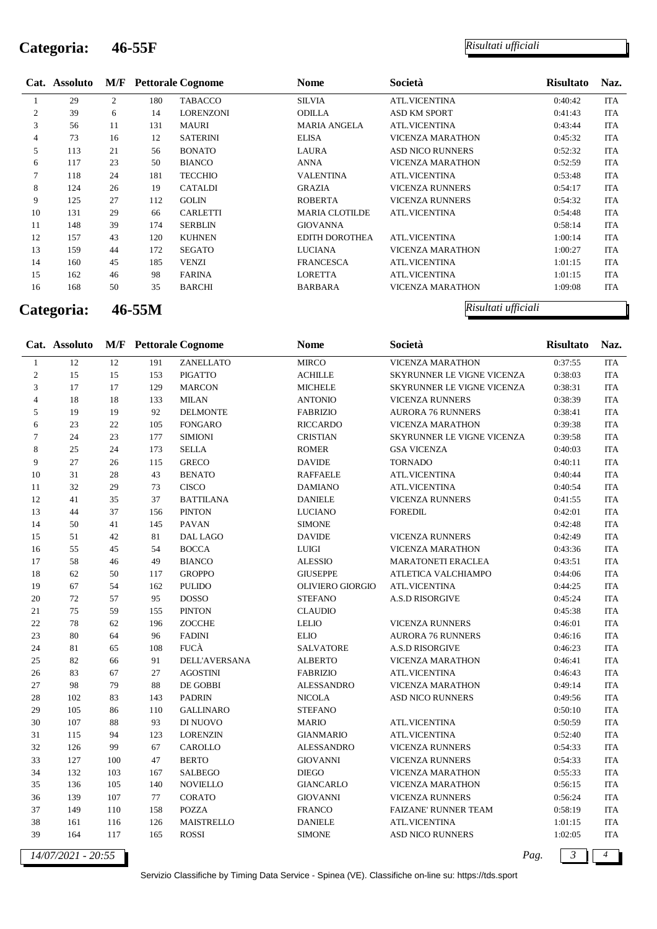# **Categoria: 46-55F** *Risultati ufficiali*

|                | Cat. Assoluto |                |            | <b>M/F</b> Pettorale Cognome | Nome                  | Società                 | <b>Risultato</b> | Naz.       |
|----------------|---------------|----------------|------------|------------------------------|-----------------------|-------------------------|------------------|------------|
|                | 29            | $\overline{2}$ | 180        | <b>TABACCO</b>               | <b>SILVIA</b>         | <b>ATL.VICENTINA</b>    | 0:40:42          | ITA        |
| $\mathfrak{2}$ | 39            | 6              | 14         | LORENZONI                    | ODILLA                | ASD KM SPORT            | 0:41:43          | ITA        |
| 3              | 56            | 11             | 131        | <b>MAURI</b>                 | <b>MARIA ANGELA</b>   | <b>ATL.VICENTINA</b>    | 0:43:44          | <b>ITA</b> |
| 4              | 73            | 16             | 12         | <b>SATERINI</b>              | <b>ELISA</b>          | <b>VICENZA MARATHON</b> | 0:45:32          | ITA        |
| 5              | 113           | 21             | 56         | <b>BONATO</b>                | LAURA                 | <b>ASD NICO RUNNERS</b> | 0:52:32          | <b>ITA</b> |
| 6              | 117           | 23             | 50         | <b>BIANCO</b>                | ANNA                  | <b>VICENZA MARATHON</b> | 0:52:59          | ITA        |
| 7              | 118           | 24             | 181        | <b>TECCHIO</b>               | <b>VALENTINA</b>      | <b>ATL.VICENTINA</b>    | 0:53:48          | ITA        |
| 8              | 124           | 26             | 19         | <b>CATALDI</b>               | <b>GRAZIA</b>         | <b>VICENZA RUNNERS</b>  | 0:54:17          | ITA        |
| 9              | 125           | 27             | 112        | <b>GOLIN</b>                 | <b>ROBERTA</b>        | <b>VICENZA RUNNERS</b>  | 0:54:32          | ITA        |
| 10             | 131           | 29             | 66         | <b>CARLETTI</b>              | <b>MARIA CLOTILDE</b> | <b>ATL.VICENTINA</b>    | 0:54:48          | <b>ITA</b> |
| 11             | 148           | 39             | 174        | <b>SERBLIN</b>               | <b>GIOVANNA</b>       |                         | 0:58:14          | ITA        |
| 12             | 157           | 43             | 120        | <b>KUHNEN</b>                | EDITH DOROTHEA        | <b>ATL.VICENTINA</b>    | 1:00:14          | ITA        |
| 13             | 159           | 44             | 172        | <b>SEGATO</b>                | <b>LUCIANA</b>        | <b>VICENZA MARATHON</b> | 1:00:27          | ITA        |
| 14             | 160           | 45             | 185        | <b>VENZI</b>                 | <b>FRANCESCA</b>      | <b>ATL.VICENTINA</b>    | 1:01:15          | ITA        |
| 15             | 162           | 46             | 98         | <b>FARINA</b>                | <b>LORETTA</b>        | <b>ATL.VICENTINA</b>    | 1:01:15          | <b>ITA</b> |
| 16             | 168           | 50             | 35         | <b>BARCHI</b>                | BARBARA               | <b>VICENZA MARATHON</b> | 1:09:08          | <b>ITA</b> |
|                | Categoria:    |                | $46 - 55M$ |                              |                       | Risultati ufficiali     |                  |            |

|                | Cat. Assoluto      |        |        | <b>M/F</b> Pettorale Cognome | <b>Nome</b>             | Società                     | <b>Risultato</b>       | Naz.           |
|----------------|--------------------|--------|--------|------------------------------|-------------------------|-----------------------------|------------------------|----------------|
| $\mathbf{1}$   | 12                 | 12     | 191    | ZANELLATO                    | <b>MIRCO</b>            | VICENZA MARATHON            | 0:37:55                | <b>ITA</b>     |
| $\sqrt{2}$     | 15                 | 15     | 153    | <b>PIGATTO</b>               | <b>ACHILLE</b>          | SKYRUNNER LE VIGNE VICENZA  | 0:38:03                | <b>ITA</b>     |
| 3              | 17                 | 17     | 129    | <b>MARCON</b>                | <b>MICHELE</b>          | SKYRUNNER LE VIGNE VICENZA  | 0:38:31                | <b>ITA</b>     |
| $\overline{4}$ | $18\,$             | 18     | 133    | <b>MILAN</b>                 | <b>ANTONIO</b>          | VICENZA RUNNERS             | 0:38:39                | ITA            |
| $\mathfrak s$  | 19                 | 19     | 92     | <b>DELMONTE</b>              | <b>FABRIZIO</b>         | <b>AURORA 76 RUNNERS</b>    | 0:38:41                | ITA            |
| 6              | 23                 | 22     | 105    | <b>FONGARO</b>               | <b>RICCARDO</b>         | VICENZA MARATHON            | 0:39:38                | <b>ITA</b>     |
| $\tau$         | $24\,$             | 23     | 177    | <b>SIMIONI</b>               | <b>CRISTIAN</b>         | SKYRUNNER LE VIGNE VICENZA  | 0:39:58                | <b>ITA</b>     |
| 8              | 25                 | $24\,$ | 173    | <b>SELLA</b>                 | <b>ROMER</b>            | <b>GSA VICENZA</b>          | 0:40:03                | <b>ITA</b>     |
| 9              | 27                 | 26     | 115    | <b>GRECO</b>                 | <b>DAVIDE</b>           | <b>TORNADO</b>              | 0:40:11                | <b>ITA</b>     |
| 10             | 31                 | $28\,$ | 43     | <b>BENATO</b>                | <b>RAFFAELE</b>         | <b>ATL.VICENTINA</b>        | 0:40:44                | <b>ITA</b>     |
| 11             | $32\,$             | 29     | 73     | <b>CISCO</b>                 | <b>DAMIANO</b>          | <b>ATL.VICENTINA</b>        | 0:40:54                | ITA            |
| 12             | $41\,$             | 35     | 37     | <b>BATTILANA</b>             | <b>DANIELE</b>          | VICENZA RUNNERS             | 0:41:55                | ITA            |
| 13             | 44                 | 37     | 156    | <b>PINTON</b>                | <b>LUCIANO</b>          | <b>FOREDIL</b>              | 0:42:01                | <b>ITA</b>     |
| 14             | 50                 | 41     | 145    | <b>PAVAN</b>                 | <b>SIMONE</b>           |                             | 0:42:48                | <b>ITA</b>     |
| 15             | 51                 | 42     | $81\,$ | DAL LAGO                     | <b>DAVIDE</b>           | <b>VICENZA RUNNERS</b>      | 0:42:49                | <b>ITA</b>     |
| 16             | 55                 | 45     | 54     | <b>BOCCA</b>                 | <b>LUIGI</b>            | <b>VICENZA MARATHON</b>     | 0:43:36                | ITA            |
| $17\,$         | 58                 | $46\,$ | 49     | <b>BIANCO</b>                | <b>ALESSIO</b>          | <b>MARATONETI ERACLEA</b>   | 0:43:51                | ITA            |
| 18             | 62                 | 50     | 117    | <b>GROPPO</b>                | <b>GIUSEPPE</b>         | ATLETICA VALCHIAMPO         | 0:44:06                | ITA            |
| 19             | 67                 | 54     | 162    | <b>PULIDO</b>                | <b>OLIVIERO GIORGIO</b> | ATL.VICENTINA               | 0:44:25                | <b>ITA</b>     |
| $20\,$         | 72                 | 57     | 95     | <b>DOSSO</b>                 | <b>STEFANO</b>          | <b>A.S.D RISORGIVE</b>      | 0:45:24                | ITA            |
| $21\,$         | 75                 | 59     | 155    | <b>PINTON</b>                | <b>CLAUDIO</b>          |                             | 0:45:38                | $\rm ITA$      |
| $22\,$         | $78\,$             | 62     | 196    | ZOCCHE                       | <b>LELIO</b>            | VICENZA RUNNERS             | 0:46:01                | <b>ITA</b>     |
| $23\,$         | $80\,$             | 64     | 96     | <b>FADINI</b>                | <b>ELIO</b>             | <b>AURORA 76 RUNNERS</b>    | 0:46:16                | <b>ITA</b>     |
| $24\,$         | 81                 | 65     | 108    | FUCÀ                         | SALVATORE               | <b>A.S.D RISORGIVE</b>      | 0:46:23                | ITA            |
| $25\,$         | $82\,$             | 66     | 91     | <b>DELL'AVERSANA</b>         | <b>ALBERTO</b>          | <b>VICENZA MARATHON</b>     | 0:46:41                | <b>ITA</b>     |
| $26\,$         | 83                 | 67     | 27     | <b>AGOSTINI</b>              | <b>FABRIZIO</b>         | ATL.VICENTINA               | 0:46:43                | <b>ITA</b>     |
| 27             | 98                 | 79     | 88     | DE GOBBI                     | <b>ALESSANDRO</b>       | VICENZA MARATHON            | 0:49:14                | ITA            |
| $28\,$         | 102                | 83     | 143    | <b>PADRIN</b>                | <b>NICOLA</b>           | ASD NICO RUNNERS            | 0:49:56                | <b>ITA</b>     |
| 29             | 105                | 86     | 110    | <b>GALLINARO</b>             | <b>STEFANO</b>          |                             | 0:50:10                | <b>ITA</b>     |
| $30\,$         | 107                | $88\,$ | 93     | DI NUOVO                     | <b>MARIO</b>            | <b>ATL.VICENTINA</b>        | 0:50:59                | ITA            |
| 31             | 115                | 94     | 123    | <b>LORENZIN</b>              | <b>GIANMARIO</b>        | <b>ATL.VICENTINA</b>        | 0:52:40                | <b>ITA</b>     |
| 32             | 126                | 99     | 67     | CAROLLO                      | <b>ALESSANDRO</b>       | VICENZA RUNNERS             | 0:54:33                | ITA            |
| 33             | 127                | 100    | 47     | <b>BERTO</b>                 | <b>GIOVANNI</b>         | VICENZA RUNNERS             | 0:54:33                | ITA            |
| 34             | 132                | 103    | 167    | <b>SALBEGO</b>               | <b>DIEGO</b>            | <b>VICENZA MARATHON</b>     | 0:55:33                | ITA            |
| 35             | 136                | 105    | 140    | <b>NOVIELLO</b>              | <b>GIANCARLO</b>        | <b>VICENZA MARATHON</b>     | 0:56:15                | <b>ITA</b>     |
| 36             | 139                | 107    | 77     | CORATO                       | <b>GIOVANNI</b>         | VICENZA RUNNERS             | 0:56:24                | ITA            |
| 37             | 149                | 110    | 158    | <b>POZZA</b>                 | <b>FRANCO</b>           | <b>FAIZANE' RUNNER TEAM</b> | 0:58:19                | <b>ITA</b>     |
| 38             | 161                | 116    | 126    | MAISTRELLO                   | <b>DANIELE</b>          | ATL.VICENTINA               | 1:01:15                | <b>ITA</b>     |
| 39             | 164                | 117    | 165    | <b>ROSSI</b>                 | <b>SIMONE</b>           | ASD NICO RUNNERS            | 1:02:05                | <b>ITA</b>     |
|                | 14/07/2021 - 20:55 |        |        |                              |                         |                             | $\mathfrak{Z}$<br>Pag. | $\overline{4}$ |

Servizio Classifiche by Timing Data Service - Spinea (VE). Classifiche on-line su: https://tds.sport